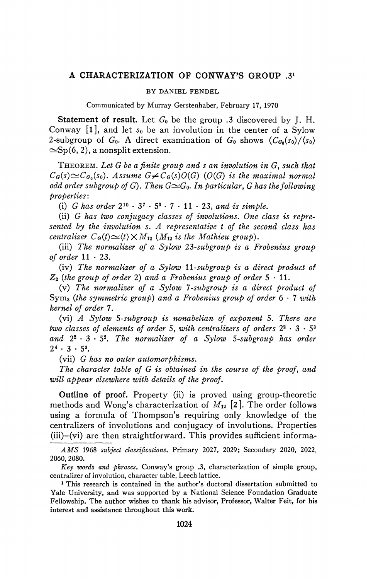## **A CHARACTERIZATION OF CONWAY'S GROUP .3<sup>1</sup>**

## BY DANIEL FENDEL

Communicated by Murray Gerstenhaber, February 17, 1970

**Statement of result.** Let *G0* be the group .3 discovered by J. H. Conway  $[1]$ , and let  $s_0$  be an involution in the center of a Sylow 2-subgroup of  $G_0$ . A direct examination of  $G_0$  shows  $(C_{G_0}(s_0)/\langle s_0 \rangle)$  $\approx$ Sp(6, 2), a nonsplit extension.

THEOREM. *Let G be a finite group and s an involution in G, such that*   $C_G(s) \simeq C_{G_0}(s_0)$ . Assume  $G \neq C_G(s)O(G)$  (O(G) is the maximal normal *odd order subgroup of G). Then*  $G\simeq G_0$ *. In particular, G has the following properties* :

(i) *G* has order  $2^{10} \cdot 3^7 \cdot 5^3 \cdot 7 \cdot 11 \cdot 23$ , and is simple.

(ii) *G has two conjugacy classes of involutions. One class is represented by the involution s. A representative t of the second class has centralizer*  $C_G(t) \simeq \langle t \rangle \times M_{12}$  ( $M_{12}$  is the Mathieu group).

(iii) *The normalizer of a Sylow 23-subgroup is a Frobenius group of order*  $11 \cdot 23$ .

(iv) *The normalizer of a Sylow 11-subgroup is a direct product of*   $Z_2$  (the group of order 2) and a Frobenius group of order  $5 \cdot 11$ .

(v) *The normalizer of a Sylow 7-subgroup is a direct product of*  Sym3 *(the symmetric group) and a Frobenius group of order* 6 • 7 *with kernel of order* 7.

(vi) *A Sylow 5-subgroup is nonabelian of exponent* 5. *There are two classes of elements of order* 5, *with centralizers of orders* 2<sup>2</sup> • 3 • 5<sup>3</sup> and  $2^2 \cdot 3 \cdot 5^2$ . The normalizer of a Sylow 5-subgroup has order  $2^4 \cdot 3 \cdot 5^3$ .

(vii) *G has no outer automorphisms.* 

*The character table of G is obtained in the course of the proof, and will appear elsewhere with details of the proof.* 

**Outline of proof.** Property (ii) is proved using group-theoretic methods and Wong's characterization of *Mi2 [z].* The order follows using a formula of Thompson's requiring only knowledge of the centralizers of involutions and conjugacy of involutions. Properties (iii)-(vi) are then straightforward. This provides sufficient informa-

^ikfS 1968 *subject classifications.* Primary 2027, 2029; Secondary 2020, 2022, 2060, 2080.

*Key words and phrases.* Conway's group .3, characterization of simple group, centralizer of involution, character table, Leech lattice.

<sup>&</sup>lt;sup>1</sup> This research is contained in the author's doctoral dissertation submitted to Yale University, and was supported by a National Science Foundation Graduate Fellowship. The author wishes to thank his advisor, Professor, Walter Feit, for his interest and assistance throughout this work.